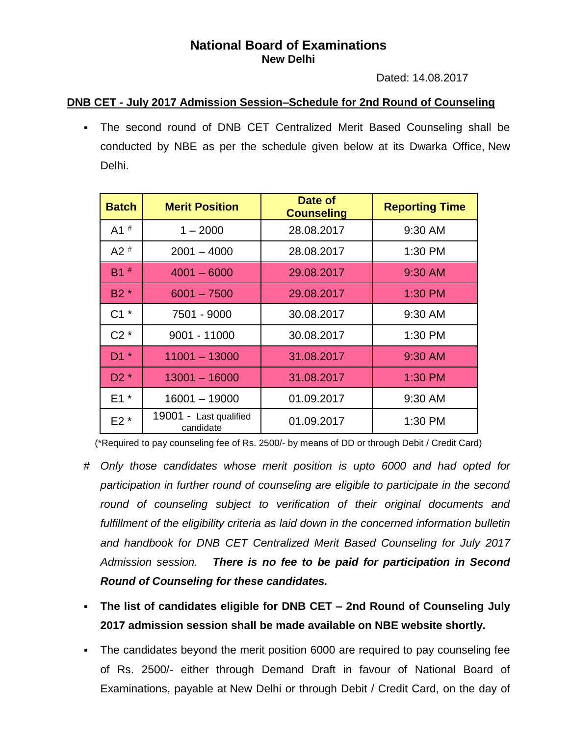## **National Board of Examinations New Delhi**

Dated: 14.08.2017

## **DNB CET - July 2017 Admission Session–Schedule for 2nd Round of Counseling**

▪ The second round of DNB CET Centralized Merit Based Counseling shall be conducted by NBE as per the schedule given below at its Dwarka Office, New Delhi.

| <b>Batch</b>      | <b>Merit Position</b>               | Date of<br><b>Counseling</b> | <b>Reporting Time</b> |
|-------------------|-------------------------------------|------------------------------|-----------------------|
| $A1$ <sup>#</sup> | $1 - 2000$                          | 28.08.2017                   | 9:30 AM               |
| A2 $#$            | $2001 - 4000$                       | 28.08.2017                   | 1:30 PM               |
| $B1$ <sup>#</sup> | $4001 - 6000$                       | 29.08.2017                   | 9:30 AM               |
| B <sub>2</sub> *  | $6001 - 7500$                       | 29.08.2017                   | 1:30 PM               |
| $C1^*$            | 7501 - 9000                         | 30.08.2017                   | 9:30 AM               |
| $C2^*$            | 9001 - 11000                        | 30.08.2017                   | 1:30 PM               |
| $D1^*$            | $11001 - 13000$                     | 31.08.2017                   | 9:30 AM               |
| $D2^*$            | $13001 - 16000$                     | 31.08.2017                   | 1:30 PM               |
| $E1*$             | 16001 - 19000                       | 01.09.2017                   | 9:30 AM               |
| $E2*$             | 19001 - Last qualified<br>candidate | 01.09.2017                   | 1:30 PM               |

(\*Required to pay counseling fee of Rs. 2500/- by means of DD or through Debit / Credit Card)

- # *Only those candidates whose merit position is upto 6000 and had opted for participation in further round of counseling are eligible to participate in the second round of counseling subject to verification of their original documents and fulfillment of the eligibility criteria as laid down in the concerned information bulletin and handbook for DNB CET Centralized Merit Based Counseling for July 2017 Admission session. There is no fee to be paid for participation in Second Round of Counseling for these candidates.*
- **The list of candidates eligible for DNB CET – 2nd Round of Counseling July 2017 admission session shall be made available on NBE website shortly.**
- The candidates beyond the merit position 6000 are required to pay counseling fee of Rs. 2500/- either through Demand Draft in favour of National Board of Examinations, payable at New Delhi or through Debit / Credit Card, on the day of